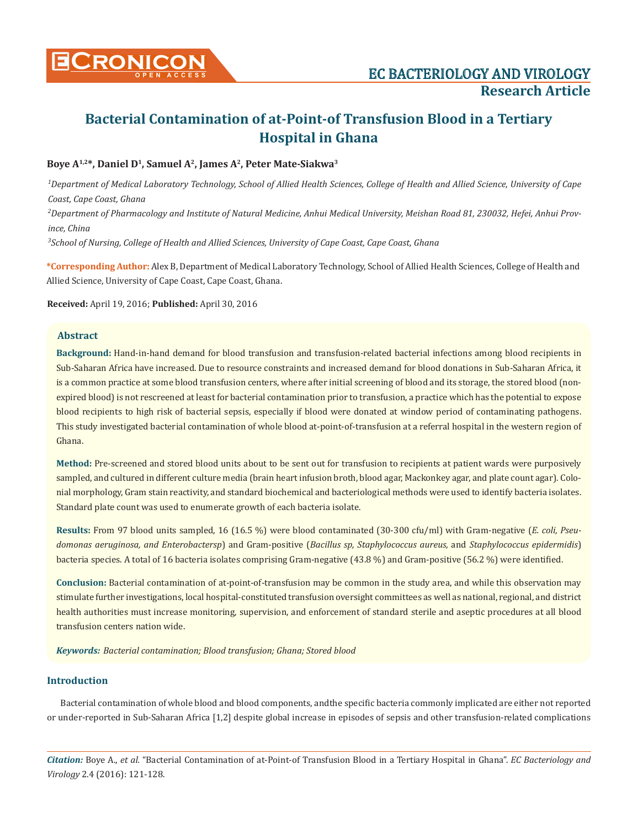

# **Boye A1,2\*, Daniel D1, Samuel A2, James A2, Peter Mate-Siakwa3**

*1 Department of Medical Laboratory Technology, School of Allied Health Sciences, College of Health and Allied Science, University of Cape Coast, Cape Coast, Ghana*

*2 Department of Pharmacology and Institute of Natural Medicine, Anhui Medical University, Meishan Road 81, 230032, Hefei, Anhui Province, China*

*3 School of Nursing, College of Health and Allied Sciences, University of Cape Coast, Cape Coast, Ghana*

**\*Corresponding Author:** Alex B, Department of Medical Laboratory Technology, School of Allied Health Sciences, College of Health and Allied Science, University of Cape Coast, Cape Coast, Ghana.

**Received:** April 19, 2016; **Published:** April 30, 2016

## **Abstract**

**Background:** Hand-in-hand demand for blood transfusion and transfusion-related bacterial infections among blood recipients in Sub-Saharan Africa have increased. Due to resource constraints and increased demand for blood donations in Sub-Saharan Africa, it is a common practice at some blood transfusion centers, where after initial screening of blood and its storage, the stored blood (nonexpired blood) is not rescreened at least for bacterial contamination prior to transfusion, a practice which has the potential to expose blood recipients to high risk of bacterial sepsis, especially if blood were donated at window period of contaminating pathogens. This study investigated bacterial contamination of whole blood at-point-of-transfusion at a referral hospital in the western region of Ghana.

**Method:** Pre-screened and stored blood units about to be sent out for transfusion to recipients at patient wards were purposively sampled, and cultured in different culture media (brain heart infusion broth, blood agar, Mackonkey agar, and plate count agar). Colonial morphology, Gram stain reactivity, and standard biochemical and bacteriological methods were used to identify bacteria isolates. Standard plate count was used to enumerate growth of each bacteria isolate.

**Results:** From 97 blood units sampled, 16 (16.5 %) were blood contaminated (30-300 cfu/ml) with Gram-negative (*E. coli, Pseudomonas aeruginosa, and Enterobactersp*) and Gram-positive (*Bacillus sp, Staphylococcus aureus,* and *Staphylococcus epidermidis*) bacteria species. A total of 16 bacteria isolates comprising Gram-negative (43.8 %) and Gram-positive (56.2 %) were identified.

**Conclusion:** Bacterial contamination of at-point-of-transfusion may be common in the study area, and while this observation may stimulate further investigations, local hospital-constituted transfusion oversight committees as well as national, regional, and district health authorities must increase monitoring, supervision, and enforcement of standard sterile and aseptic procedures at all blood transfusion centers nation wide.

*Keywords: Bacterial contamination; Blood transfusion; Ghana; Stored blood*

# **Introduction**

Bacterial contamination of whole blood and blood components, andthe specific bacteria commonly implicated are either not reported or under-reported in Sub-Saharan Africa [1,2] despite global increase in episodes of sepsis and other transfusion-related complications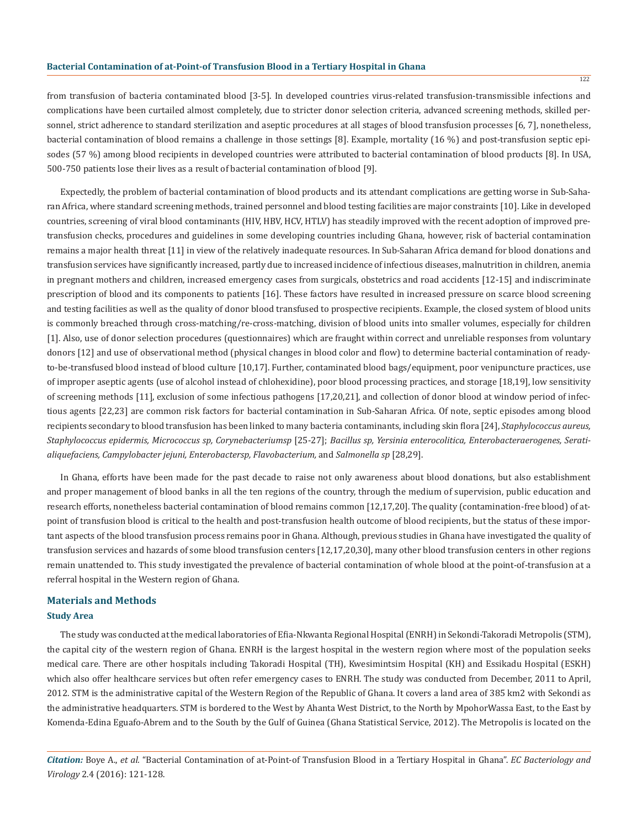from transfusion of bacteria contaminated blood [3-5]. In developed countries virus-related transfusion-transmissible infections and complications have been curtailed almost completely, due to stricter donor selection criteria, advanced screening methods, skilled personnel, strict adherence to standard sterilization and aseptic procedures at all stages of blood transfusion processes [6, 7], nonetheless, bacterial contamination of blood remains a challenge in those settings [8]. Example, mortality (16 %) and post-transfusion septic episodes (57 %) among blood recipients in developed countries were attributed to bacterial contamination of blood products [8]. In USA, 500-750 patients lose their lives as a result of bacterial contamination of blood [9].

Expectedly, the problem of bacterial contamination of blood products and its attendant complications are getting worse in Sub-Saharan Africa, where standard screening methods, trained personnel and blood testing facilities are major constraints [10]. Like in developed countries, screening of viral blood contaminants (HIV, HBV, HCV, HTLV) has steadily improved with the recent adoption of improved pretransfusion checks, procedures and guidelines in some developing countries including Ghana, however, risk of bacterial contamination remains a major health threat [11] in view of the relatively inadequate resources. In Sub-Saharan Africa demand for blood donations and transfusion services have significantly increased, partly due to increased incidence of infectious diseases, malnutrition in children, anemia in pregnant mothers and children, increased emergency cases from surgicals, obstetrics and road accidents [12-15] and indiscriminate prescription of blood and its components to patients [16]. These factors have resulted in increased pressure on scarce blood screening and testing facilities as well as the quality of donor blood transfused to prospective recipients. Example, the closed system of blood units is commonly breached through cross-matching/re-cross-matching, division of blood units into smaller volumes, especially for children [1]. Also, use of donor selection procedures (questionnaires) which are fraught within correct and unreliable responses from voluntary donors [12] and use of observational method (physical changes in blood color and flow) to determine bacterial contamination of readyto-be-transfused blood instead of blood culture [10,17]. Further, contaminated blood bags/equipment, poor venipuncture practices, use of improper aseptic agents (use of alcohol instead of chlohexidine), poor blood processing practices, and storage [18,19], low sensitivity of screening methods [11], exclusion of some infectious pathogens [17,20,21], and collection of donor blood at window period of infectious agents [22,23] are common risk factors for bacterial contamination in Sub-Saharan Africa. Of note, septic episodes among blood recipients secondary to blood transfusion has been linked to many bacteria contaminants, including skin flora [24], *Staphylococcus aureus, Staphylococcus epidermis, Micrococcus sp, Corynebacteriumsp* [25-27]; *Bacillus sp, Yersinia enterocolitica, Enterobacteraerogenes, Seratialiquefaciens, Campylobacter jejuni, Enterobactersp, Flavobacterium,* and *Salmonella sp* [28,29].

In Ghana, efforts have been made for the past decade to raise not only awareness about blood donations, but also establishment and proper management of blood banks in all the ten regions of the country, through the medium of supervision, public education and research efforts, nonetheless bacterial contamination of blood remains common [12,17,20]. The quality (contamination-free blood) of atpoint of transfusion blood is critical to the health and post-transfusion health outcome of blood recipients, but the status of these important aspects of the blood transfusion process remains poor in Ghana. Although, previous studies in Ghana have investigated the quality of transfusion services and hazards of some blood transfusion centers [12,17,20,30], many other blood transfusion centers in other regions remain unattended to. This study investigated the prevalence of bacterial contamination of whole blood at the point-of-transfusion at a referral hospital in the Western region of Ghana.

# **Materials and Methods Study Area**

The study was conducted at the medical laboratories of Efia-Nkwanta Regional Hospital (ENRH) in Sekondi-Takoradi Metropolis (STM), the capital city of the western region of Ghana. ENRH is the largest hospital in the western region where most of the population seeks medical care. There are other hospitals including Takoradi Hospital (TH), Kwesimintsim Hospital (KH) and Essikadu Hospital (ESKH) which also offer healthcare services but often refer emergency cases to ENRH. The study was conducted from December, 2011 to April, 2012. STM is the administrative capital of the Western Region of the Republic of Ghana. It covers a land area of 385 km2 with Sekondi as the administrative headquarters. STM is bordered to the West by Ahanta West District, to the North by MpohorWassa East, to the East by Komenda-Edina Eguafo-Abrem and to the South by the Gulf of Guinea (Ghana Statistical Service, 2012). The Metropolis is located on the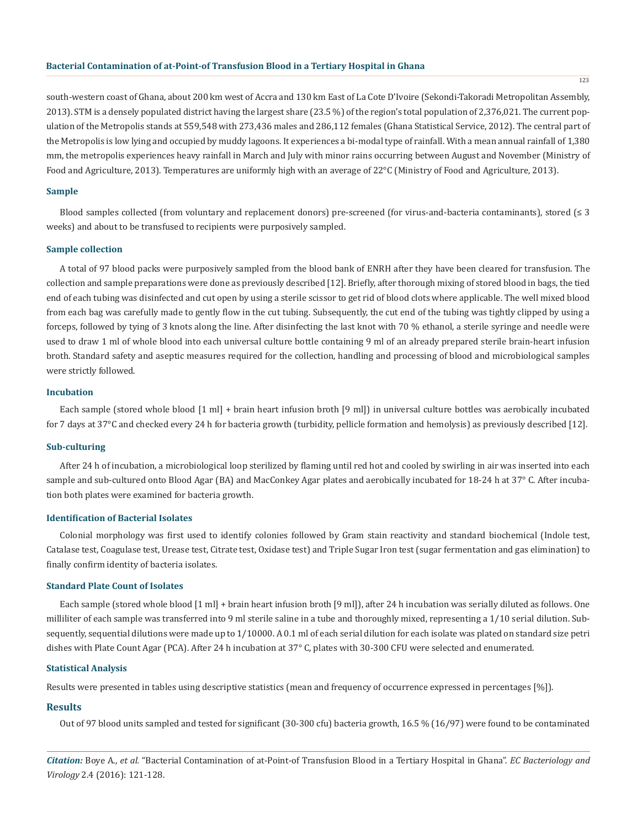south-western coast of Ghana, about 200 km west of Accra and 130 km East of La Cote D'Ivoire (Sekondi-Takoradi Metropolitan Assembly, 2013). STM is a densely populated district having the largest share (23.5 %) of the region's total population of 2,376,021. The current population of the Metropolis stands at 559,548 with 273,436 males and 286,112 females (Ghana Statistical Service, 2012). The central part of the Metropolis is low lying and occupied by muddy lagoons. It experiences a bi-modal type of rainfall. With a mean annual rainfall of 1,380 mm, the metropolis experiences heavy rainfall in March and July with minor rains occurring between August and November (Ministry of Food and Agriculture, 2013). Temperatures are uniformly high with an average of 22°C (Ministry of Food and Agriculture, 2013).

#### **Sample**

Blood samples collected (from voluntary and replacement donors) pre-screened (for virus-and-bacteria contaminants), stored ( $\leq 3$ weeks) and about to be transfused to recipients were purposively sampled.

#### **Sample collection**

A total of 97 blood packs were purposively sampled from the blood bank of ENRH after they have been cleared for transfusion. The collection and sample preparations were done as previously described [12]. Briefly, after thorough mixing of stored blood in bags, the tied end of each tubing was disinfected and cut open by using a sterile scissor to get rid of blood clots where applicable. The well mixed blood from each bag was carefully made to gently flow in the cut tubing. Subsequently, the cut end of the tubing was tightly clipped by using a forceps, followed by tying of 3 knots along the line. After disinfecting the last knot with 70 % ethanol, a sterile syringe and needle were used to draw 1 ml of whole blood into each universal culture bottle containing 9 ml of an already prepared sterile brain-heart infusion broth. Standard safety and aseptic measures required for the collection, handling and processing of blood and microbiological samples were strictly followed.

#### **Incubation**

Each sample (stored whole blood [1 ml] + brain heart infusion broth [9 ml]) in universal culture bottles was aerobically incubated for 7 days at 37°C and checked every 24 h for bacteria growth (turbidity, pellicle formation and hemolysis) as previously described [12].

#### **Sub-culturing**

After 24 h of incubation, a microbiological loop sterilized by flaming until red hot and cooled by swirling in air was inserted into each sample and sub-cultured onto Blood Agar (BA) and MacConkey Agar plates and aerobically incubated for 18-24 h at 37° C. After incubation both plates were examined for bacteria growth.

### **Identification of Bacterial Isolates**

Colonial morphology was first used to identify colonies followed by Gram stain reactivity and standard biochemical (Indole test, Catalase test, Coagulase test, Urease test, Citrate test, Oxidase test) and Triple Sugar Iron test (sugar fermentation and gas elimination) to finally confirm identity of bacteria isolates.

## **Standard Plate Count of Isolates**

Each sample (stored whole blood [1 ml] + brain heart infusion broth [9 ml]), after 24 h incubation was serially diluted as follows. One milliliter of each sample was transferred into 9 ml sterile saline in a tube and thoroughly mixed, representing a 1/10 serial dilution. Subsequently, sequential dilutions were made up to 1/10000. A 0.1 ml of each serial dilution for each isolate was plated on standard size petri dishes with Plate Count Agar (PCA). After 24 h incubation at 37° C, plates with 30-300 CFU were selected and enumerated.

#### **Statistical Analysis**

Results were presented in tables using descriptive statistics (mean and frequency of occurrence expressed in percentages [%]).

#### **Results**

Out of 97 blood units sampled and tested for significant (30-300 cfu) bacteria growth, 16.5 % (16/97) were found to be contaminated

*Citation:* Boye A., *et al.* "Bacterial Contamination of at-Point-of Transfusion Blood in a Tertiary Hospital in Ghana". *EC Bacteriology and Virology* 2.4 (2016): 121-128.

123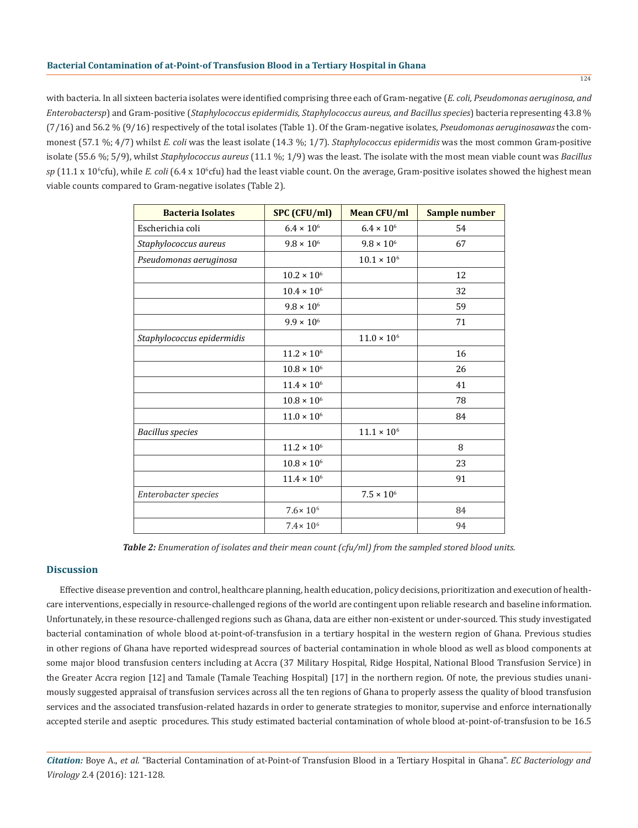with bacteria. In all sixteen bacteria isolates were identified comprising three each of Gram-negative (*E. coli, Pseudomonas aeruginosa, and Enterobactersp*) and Gram-positive (*Staphylococcus epidermidis, Staphylococcus aureus, and Bacillus species*) bacteria representing 43.8 % (7/16) and 56.2 % (9/16) respectively of the total isolates (Table 1). Of the Gram-negative isolates, *Pseudomonas aeruginosawas* the commonest (57.1 %; 4/7) whilst *E. coli* was the least isolate (14.3 %; 1/7). *Staphylococcus epidermidis* was the most common Gram-positive isolate (55.6 %; 5/9), whilst *Staphylococcus aureus* (11.1 %; 1/9) was the least. The isolate with the most mean viable count was *Bacillus*  sp (11.1 x 10<sup>6</sup>cfu), while *E. coli* (6.4 x 10<sup>6</sup>cfu) had the least viable count. On the average, Gram-positive isolates showed the highest mean viable counts compared to Gram-negative isolates (Table 2).

| <b>Bacteria Isolates</b>   | SPC (CFU/ml)         | <b>Mean CFU/ml</b>   | Sample number |
|----------------------------|----------------------|----------------------|---------------|
| Escherichia coli           | $6.4 \times 10^{6}$  | $6.4\times10^6$      | 54            |
| Staphylococcus aureus      | $9.8 \times 10^{6}$  | $9.8 \times 10^{6}$  | 67            |
| Pseudomonas aeruginosa     |                      | $10.1 \times 10^{6}$ |               |
|                            | $10.2\times10^6$     |                      | 12            |
|                            | $10.4\times10^6$     |                      | 32            |
|                            | $9.8 \times 10^{6}$  |                      | 59            |
|                            | $9.9 \times 10^{6}$  |                      | 71            |
| Staphylococcus epidermidis |                      | $11.0 \times 10^{6}$ |               |
|                            | $11.2 \times 10^{6}$ |                      | 16            |
|                            | $10.8 \times 10^{6}$ |                      | 26            |
|                            | $11.4 \times 10^{6}$ |                      | 41            |
|                            | $10.8 \times 10^{6}$ |                      | 78            |
|                            | $11.0 \times 10^{6}$ |                      | 84            |
| <b>Bacillus</b> species    |                      | $11.1\times10^6$     |               |
|                            | $11.2\times10^6$     |                      | 8             |
|                            | $10.8 \times 10^{6}$ |                      | 23            |
|                            | $11.4 \times 10^{6}$ |                      | 91            |
| Enterobacter species       |                      | $7.5 \times 10^{6}$  |               |
|                            | $7.6 \times 10^6$    |                      | 84            |
|                            | $7.4 \times 10^{6}$  |                      | 94            |

*Table 2: Enumeration of isolates and their mean count (cfu/ml) from the sampled stored blood units.*

## **Discussion**

Effective disease prevention and control, healthcare planning, health education, policy decisions, prioritization and execution of healthcare interventions, especially in resource-challenged regions of the world are contingent upon reliable research and baseline information. Unfortunately, in these resource-challenged regions such as Ghana, data are either non-existent or under-sourced. This study investigated bacterial contamination of whole blood at-point-of-transfusion in a tertiary hospital in the western region of Ghana. Previous studies in other regions of Ghana have reported widespread sources of bacterial contamination in whole blood as well as blood components at some major blood transfusion centers including at Accra (37 Military Hospital, Ridge Hospital, National Blood Transfusion Service) in the Greater Accra region [12] and Tamale (Tamale Teaching Hospital) [17] in the northern region. Of note, the previous studies unanimously suggested appraisal of transfusion services across all the ten regions of Ghana to properly assess the quality of blood transfusion services and the associated transfusion-related hazards in order to generate strategies to monitor, supervise and enforce internationally accepted sterile and aseptic procedures. This study estimated bacterial contamination of whole blood at-point-of-transfusion to be 16.5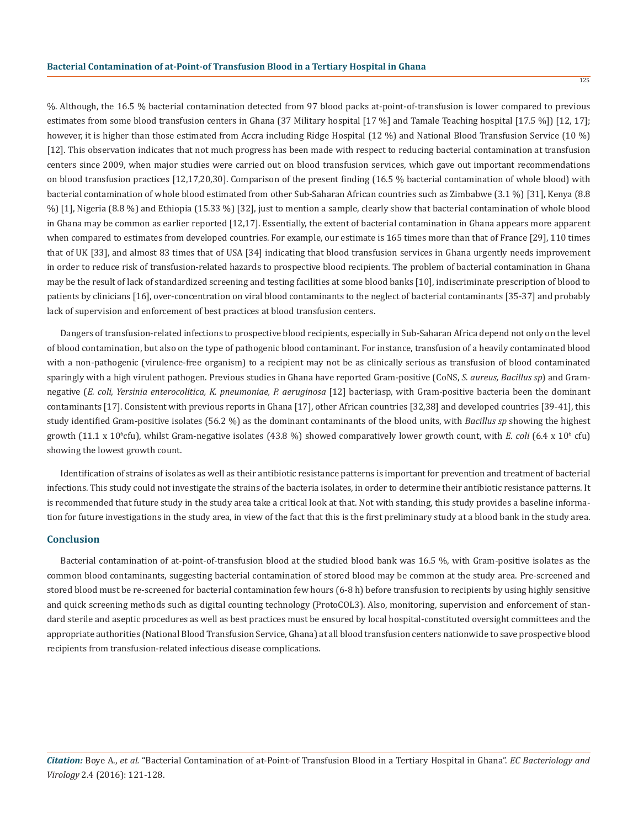%. Although, the 16.5 % bacterial contamination detected from 97 blood packs at-point-of-transfusion is lower compared to previous estimates from some blood transfusion centers in Ghana (37 Military hospital [17 %] and Tamale Teaching hospital [17.5 %]) [12, 17]; however, it is higher than those estimated from Accra including Ridge Hospital (12 %) and National Blood Transfusion Service (10 %) [12]. This observation indicates that not much progress has been made with respect to reducing bacterial contamination at transfusion centers since 2009, when major studies were carried out on blood transfusion services, which gave out important recommendations on blood transfusion practices [12,17,20,30]. Comparison of the present finding (16.5 % bacterial contamination of whole blood) with bacterial contamination of whole blood estimated from other Sub-Saharan African countries such as Zimbabwe (3.1 %) [31], Kenya (8.8 %) [1], Nigeria (8.8 %) and Ethiopia (15.33 %) [32], just to mention a sample, clearly show that bacterial contamination of whole blood in Ghana may be common as earlier reported [12,17]. Essentially, the extent of bacterial contamination in Ghana appears more apparent when compared to estimates from developed countries. For example, our estimate is 165 times more than that of France [29], 110 times that of UK [33], and almost 83 times that of USA [34] indicating that blood transfusion services in Ghana urgently needs improvement in order to reduce risk of transfusion-related hazards to prospective blood recipients. The problem of bacterial contamination in Ghana may be the result of lack of standardized screening and testing facilities at some blood banks [10], indiscriminate prescription of blood to patients by clinicians [16], over-concentration on viral blood contaminants to the neglect of bacterial contaminants [35-37] and probably lack of supervision and enforcement of best practices at blood transfusion centers.

Dangers of transfusion-related infections to prospective blood recipients, especially in Sub-Saharan Africa depend not only on the level of blood contamination, but also on the type of pathogenic blood contaminant. For instance, transfusion of a heavily contaminated blood with a non-pathogenic (virulence-free organism) to a recipient may not be as clinically serious as transfusion of blood contaminated sparingly with a high virulent pathogen. Previous studies in Ghana have reported Gram-positive (CoNS, *S. aureus, Bacillus sp*) and Gramnegative (*E. coli, Yersinia enterocolitica, K. pneumoniae, P. aeruginosa* [12] bacteriasp, with Gram-positive bacteria been the dominant contaminants [17]. Consistent with previous reports in Ghana [17], other African countries [32,38] and developed countries [39-41], this study identified Gram-positive isolates (56.2 %) as the dominant contaminants of the blood units, with *Bacillus sp* showing the highest growth (11.1 x 10<sup>6</sup>cfu), whilst Gram-negative isolates (43.8 %) showed comparatively lower growth count, with *E. coli* (6.4 x 10<sup>6</sup> cfu) showing the lowest growth count.

Identification of strains of isolates as well as their antibiotic resistance patterns is important for prevention and treatment of bacterial infections. This study could not investigate the strains of the bacteria isolates, in order to determine their antibiotic resistance patterns. It is recommended that future study in the study area take a critical look at that. Not with standing, this study provides a baseline information for future investigations in the study area, in view of the fact that this is the first preliminary study at a blood bank in the study area.

## **Conclusion**

Bacterial contamination of at-point-of-transfusion blood at the studied blood bank was 16.5 %, with Gram-positive isolates as the common blood contaminants, suggesting bacterial contamination of stored blood may be common at the study area. Pre-screened and stored blood must be re-screened for bacterial contamination few hours (6-8 h) before transfusion to recipients by using highly sensitive and quick screening methods such as digital counting technology (ProtoCOL3). Also, monitoring, supervision and enforcement of standard sterile and aseptic procedures as well as best practices must be ensured by local hospital-constituted oversight committees and the appropriate authorities (National Blood Transfusion Service, Ghana) at all blood transfusion centers nationwide to save prospective blood recipients from transfusion-related infectious disease complications.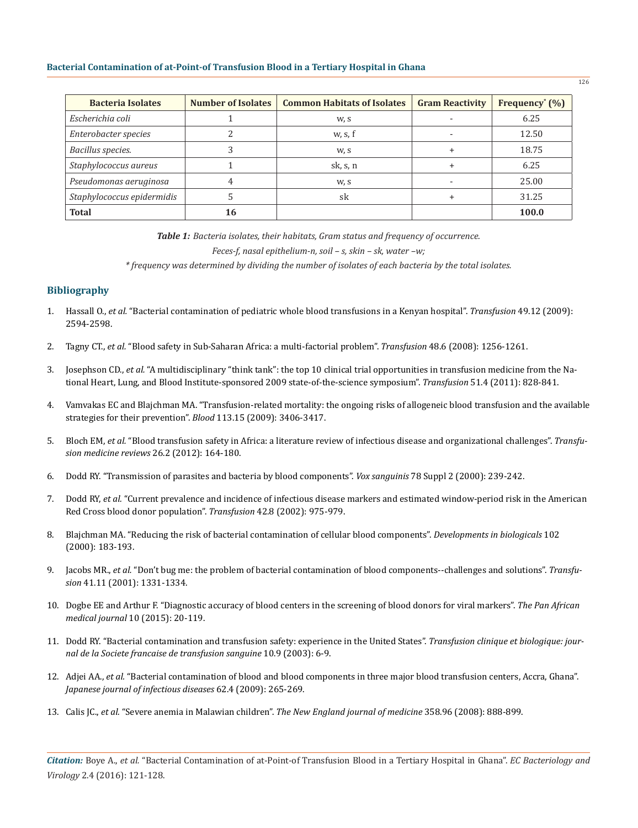| <b>Bacteria Isolates</b>   | <b>Number of Isolates</b> | <b>Common Habitats of Isolates</b> | <b>Gram Reactivity</b> | Frequency <sup>*</sup> $(\% )$ |
|----------------------------|---------------------------|------------------------------------|------------------------|--------------------------------|
| Escherichia coli           |                           | W, S                               |                        | 6.25                           |
| Enterobacter species       |                           | w, s, f                            |                        | 12.50                          |
| Bacillus species.          |                           | W, S                               |                        | 18.75                          |
| Staphylococcus aureus      |                           | sk, s, n                           |                        | 6.25                           |
| Pseudomonas aeruginosa     |                           | W, S                               |                        | 25.00                          |
| Staphylococcus epidermidis |                           | sk                                 |                        | 31.25                          |
| <b>Total</b>               | 16                        |                                    |                        | 100.0                          |

*Table 1: Bacteria isolates, their habitats, Gram status and frequency of occurrence.*

*Feces-f, nasal epithelium-n, soil – s, skin – sk, water –w;* 

*\* frequency was determined by dividing the number of isolates of each bacteria by the total isolates.* 

# **Bibliography**

- 1. Hassall O., *et al.* "Bacterial contamination of pediatric whole blood transfusions in a Kenyan hospital". *Transfusion* 49.12 (2009): 2594-2598.
- 2. Tagny CT., *et al.* "Blood safety in Sub-Saharan Africa: a multi-factorial problem". *Transfusion* 48.6 (2008): 1256-1261.
- 3. Josephson CD., *et al.* "A multidisciplinary "think tank": the top 10 clinical trial opportunities in transfusion medicine from the National Heart, Lung, and Blood Institute-sponsored 2009 state-of-the-science symposium". *Transfusion* 51.4 (2011): 828-841.
- 4. Vamvakas EC and Blajchman MA. "Transfusion-related mortality: the ongoing risks of allogeneic blood transfusion and the available strategies for their prevention". *Blood* 113.15 (2009): 3406-3417.
- 5. Bloch EM, *et al.* "Blood transfusion safety in Africa: a literature review of infectious disease and organizational challenges". *Transfusion medicine reviews* 26.2 (2012): 164-180.
- 6. Dodd RY. "Transmission of parasites and bacteria by blood components". *Vox sanguinis* 78 Suppl 2 (2000): 239-242.
- 7. Dodd RY, *et al.* "Current prevalence and incidence of infectious disease markers and estimated window-period risk in the American Red Cross blood donor population". *Transfusion* 42.8 (2002): 975-979.
- 8. Blajchman MA. "Reducing the risk of bacterial contamination of cellular blood components". *Developments in biologicals* 102 (2000): 183-193.
- 9. Jacobs MR., *et al.* "Don't bug me: the problem of bacterial contamination of blood components--challenges and solutions". *Transfusion* 41.11 (2001): 1331-1334.
- 10. Dogbe EE and Arthur F. "Diagnostic accuracy of blood centers in the screening of blood donors for viral markers". *The Pan African medical journal* 10 (2015): 20-119.
- 11. Dodd RY. "Bacterial contamination and transfusion safety: experience in the United States". *Transfusion clinique et biologique: journal de la Societe francaise de transfusion sanguine* 10.9 (2003): 6-9.
- 12. Adjei AA., *et al.* "Bacterial contamination of blood and blood components in three major blood transfusion centers, Accra, Ghana". *Japanese journal of infectious diseases* 62.4 (2009): 265-269.
- 13. Calis JC., *et al.* "Severe anemia in Malawian children". *The New England journal of medicine* 358.96 (2008): 888-899.

*Citation:* Boye A., *et al.* "Bacterial Contamination of at-Point-of Transfusion Blood in a Tertiary Hospital in Ghana". *EC Bacteriology and Virology* 2.4 (2016): 121-128.

126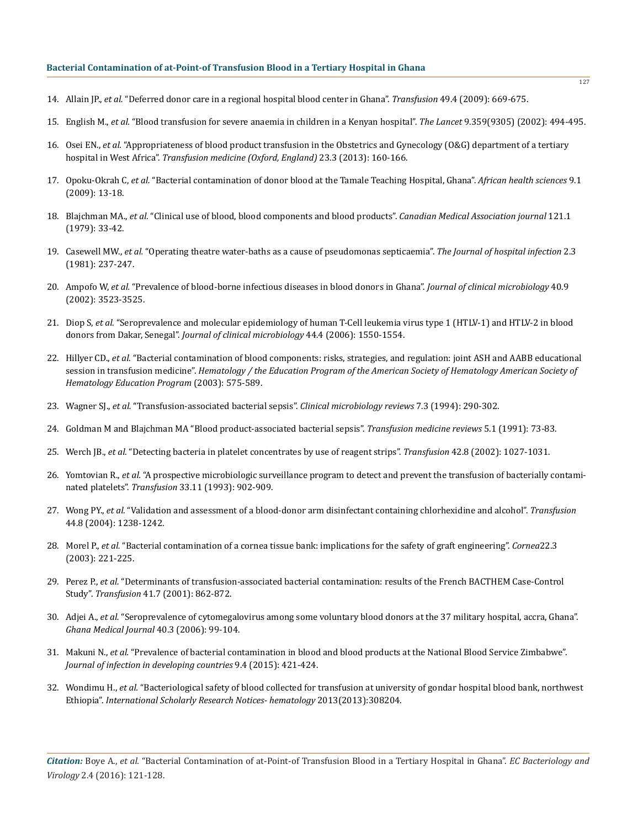- 14. Allain JP., *et al.* "Deferred donor care in a regional hospital blood center in Ghana". *Transfusion* 49.4 (2009): 669-675.
- 15. English M., *et al.* "Blood transfusion for severe anaemia in children in a Kenyan hospital". *The Lancet* 9.359(9305) (2002): 494-495.
- 16. Osei EN., *et al.* "Appropriateness of blood product transfusion in the Obstetrics and Gynecology (O&G) department of a tertiary hospital in West Africa". *Transfusion medicine (Oxford, England)* 23.3 (2013): 160-166.
- 17. Opoku-Okrah C, *et al.* "Bacterial contamination of donor blood at the Tamale Teaching Hospital, Ghana". *African health sciences* 9.1 (2009): 13-18.
- 18. Blajchman MA., *et al.* "Clinical use of blood, blood components and blood products". *Canadian Medical Association journal* 121.1 (1979): 33-42.
- 19. Casewell MW., *et al.* "Operating theatre water-baths as a cause of pseudomonas septicaemia". *The Journal of hospital infection* 2.3 (1981): 237-247.
- 20. Ampofo W, *et al.* "Prevalence of blood-borne infectious diseases in blood donors in Ghana". *Journal of clinical microbiology* 40.9 (2002): 3523-3525.
- 21. Diop S, *et al.* "Seroprevalence and molecular epidemiology of human T-Cell leukemia virus type 1 (HTLV-1) and HTLV-2 in blood donors from Dakar, Senegal". *Journal of clinical microbiology* 44.4 (2006): 1550-1554.
- 22. Hillyer CD., *et al.* "Bacterial contamination of blood components: risks, strategies, and regulation: joint ASH and AABB educational session in transfusion medicine". *Hematology / the Education Program of the American Society of Hematology American Society of Hematology Education Program* (2003): 575-589.
- 23. Wagner SJ., *et al.* "Transfusion-associated bacterial sepsis". *Clinical microbiology reviews* 7.3 (1994): 290-302.
- 24. Goldman M and Blajchman MA "Blood product-associated bacterial sepsis". *Transfusion medicine reviews* 5.1 (1991): 73-83.
- 25. Werch JB., *et al.* "Detecting bacteria in platelet concentrates by use of reagent strips". *Transfusion* 42.8 (2002): 1027-1031.
- 26. Yomtovian R., *et al.* "A prospective microbiologic surveillance program to detect and prevent the transfusion of bacterially contaminated platelets". *Transfusion* 33.11 (1993): 902-909.
- 27. Wong PY., *et al.* "Validation and assessment of a blood-donor arm disinfectant containing chlorhexidine and alcohol". *Transfusion*  44.8 (2004): 1238-1242.
- 28. Morel P., *et al.* "Bacterial contamination of a cornea tissue bank: implications for the safety of graft engineering". *Cornea*22.3 (2003): 221-225.
- 29. Perez P., *et al.* "Determinants of transfusion-associated bacterial contamination: results of the French BACTHEM Case-Control Study". *Transfusion* 41.7 (2001): 862-872.
- 30. Adjei A., *et al.* "Seroprevalence of cytomegalovirus among some voluntary blood donors at the 37 military hospital, accra, Ghana". *Ghana Medical Journal* 40.3 (2006): 99-104.
- 31. Makuni N., *et al.* "Prevalence of bacterial contamination in blood and blood products at the National Blood Service Zimbabwe". *Journal of infection in developing countries* 9.4 (2015): 421-424.
- 32. Wondimu H., *et al.* "Bacteriological safety of blood collected for transfusion at university of gondar hospital blood bank, northwest Ethiopia". *International Scholarly Research Notices- hematology* 2013(2013):308204.